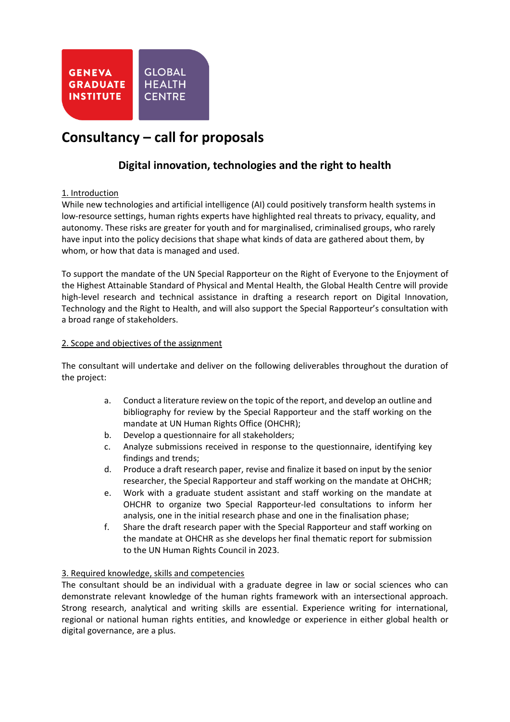

# **Consultancy – call for proposals**

# **Digital innovation, technologies and the right to health**

# 1. Introduction

While new technologies and artificial intelligence (AI) could positively transform health systems in low-resource settings, human rights experts have highlighted real threats to privacy, equality, and autonomy. These risks are greater for youth and for marginalised, criminalised groups, who rarely have input into the policy decisions that shape what kinds of data are gathered about them, by whom, or how that data is managed and used.

To support the mandate of the UN Special Rapporteur on the Right of Everyone to the Enjoyment of the Highest Attainable Standard of Physical and Mental Health, the Global Health Centre will provide high-level research and technical assistance in drafting a research report on Digital Innovation, Technology and the Right to Health, and will also support the Special Rapporteur's consultation with a broad range of stakeholders.

# 2. Scope and objectives of the assignment

The consultant will undertake and deliver on the following deliverables throughout the duration of the project:

- a. Conduct a literature review on the topic of the report, and develop an outline and bibliography for review by the Special Rapporteur and the staff working on the mandate at UN Human Rights Office (OHCHR);
- b. Develop a questionnaire for all stakeholders;
- c. Analyze submissions received in response to the questionnaire, identifying key findings and trends;
- d. Produce a draft research paper, revise and finalize it based on input by the senior researcher, the Special Rapporteur and staff working on the mandate at OHCHR;
- e. Work with a graduate student assistant and staff working on the mandate at OHCHR to organize two Special Rapporteur-led consultations to inform her analysis, one in the initial research phase and one in the finalisation phase;
- f. Share the draft research paper with the Special Rapporteur and staff working on the mandate at OHCHR as she develops her final thematic report for submission to the UN Human Rights Council in 2023.

# 3. Required knowledge, skills and competencies

The consultant should be an individual with a graduate degree in law or social sciences who can demonstrate relevant knowledge of the human rights framework with an intersectional approach. Strong research, analytical and writing skills are essential. Experience writing for international, regional or national human rights entities, and knowledge or experience in either global health or digital governance, are a plus.